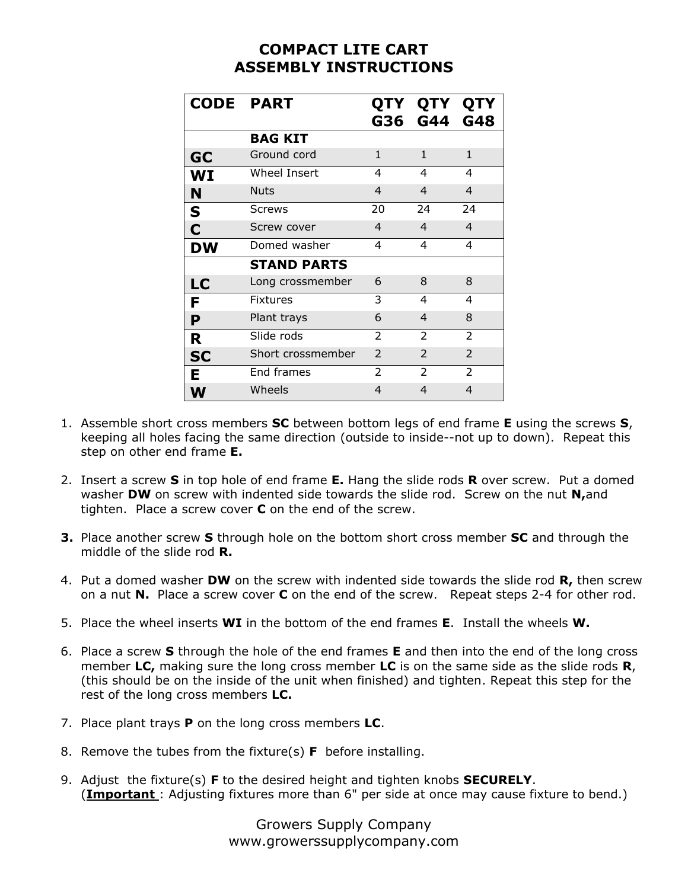## **COMPACT LITE CART ASSEMBLY INSTRUCTIONS**

| <b>CODE PART</b> |                    | G36            | QTY QTY QTY<br>G44 G48 |                |
|------------------|--------------------|----------------|------------------------|----------------|
|                  | <b>BAG KIT</b>     |                |                        |                |
| <b>GC</b>        | Ground cord        | $\mathbf{1}$   | 1                      | $\mathbf{1}$   |
| WI               | Wheel Insert       | 4              | 4                      | 4              |
| N                | <b>Nuts</b>        | $\overline{4}$ | $\overline{4}$         | $\overline{4}$ |
| S                | <b>Screws</b>      | 20             | 24                     | 24             |
| C                | Screw cover        | $\overline{4}$ | 4                      | $\overline{4}$ |
| DW               | Domed washer       | 4              | 4                      | 4              |
|                  | <b>STAND PARTS</b> |                |                        |                |
| LC               | Long crossmember   | 6              | 8                      | 8              |
| F                | <b>Fixtures</b>    | 3              | 4                      | 4              |
| P                | Plant trays        | 6              | $\overline{4}$         | 8              |
| R                | Slide rods         | $\mathcal{P}$  | $\mathcal{P}$          | $\mathcal{P}$  |
| <b>SC</b>        | Short crossmember  | $\mathcal{P}$  | $\mathcal{P}$          | $\mathcal{P}$  |
| Е                | End frames         | 2              | 2                      | $\overline{2}$ |
|                  | Wheels             | 4              | 4                      | $\overline{4}$ |

- 1. Assemble short cross members **SC** between bottom legs of end frame **E** using the screws **S**, keeping all holes facing the same direction (outside to inside--not up to down). Repeat this step on other end frame **E.**
- 2. Insert a screw **S** in top hole of end frame **E.** Hang the slide rods **R** over screw. Put a domed washer **DW** on screw with indented side towards the slide rod. Screw on the nut **N,**and tighten. Place a screw cover **C** on the end of the screw.
- **3.** Place another screw **S** through hole on the bottom short cross member **SC** and through the middle of the slide rod **R.**
- 4. Put a domed washer **DW** on the screw with indented side towards the slide rod **R,** then screw on a nut **N.** Place a screw cover **C** on the end of the screw. Repeat steps 2-4 for other rod.
- 5. Place the wheel inserts **WI** in the bottom of the end frames **E**. Install the wheels **W.**
- 6. Place a screw **S** through the hole of the end frames **E** and then into the end of the long cross member **LC,** making sure the long cross member **LC** is on the same side as the slide rods **R**, (this should be on the inside of the unit when finished) and tighten. Repeat this step for the rest of the long cross members **LC.**
- 7. Place plant trays **P** on the long cross members **LC**.
- 8. Remove the tubes from the fixture(s) **F** before installing.
- 9. Adjust the fixture(s) **F** to the desired height and tighten knobs **SECURELY**. (**Important** : Adjusting fixtures more than 6" per side at once may cause fixture to bend.)

Growers Supply Company www.growerssupplycompany.com